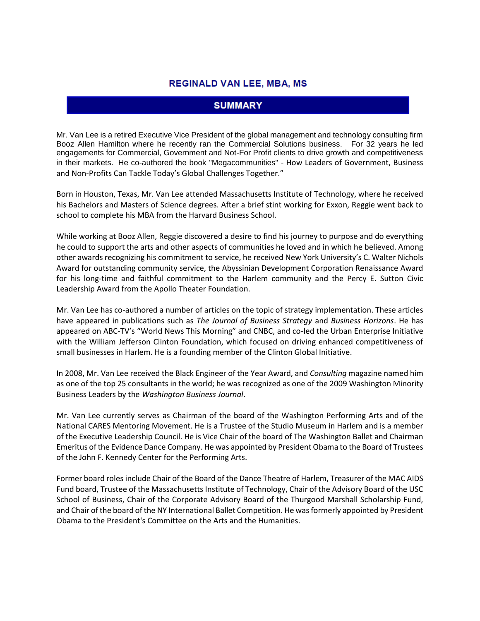#### **REGINALD VAN LEE, MBA, MS**

### **SUMMARY**

Mr. Van Lee is a retired Executive Vice President of the global management and technology consulting firm Booz Allen Hamilton where he recently ran the Commercial Solutions business. For 32 years he led engagements for Commercial, Government and Not-For Profit clients to drive growth and competitiveness in their markets. He co-authored the book "Megacommunities" - How Leaders of Government, Business and Non-Profits Can Tackle Today's Global Challenges Together."

Born in Houston, Texas, Mr. Van Lee attended Massachusetts Institute of Technology, where he received his Bachelors and Masters of Science degrees. After a brief stint working for Exxon, Reggie went back to school to complete his MBA from the Harvard Business School.

While working at Booz Allen, Reggie discovered a desire to find his journey to purpose and do everything he could to support the arts and other aspects of communities he loved and in which he believed. Among other awards recognizing his commitment to service, he received New York University's C. Walter Nichols Award for outstanding community service, the Abyssinian Development Corporation Renaissance Award for his long-time and faithful commitment to the Harlem community and the Percy E. Sutton Civic Leadership Award from the Apollo Theater Foundation.

Mr. Van Lee has co-authored a number of articles on the topic of strategy implementation. These articles have appeared in publications such as *The Journal of Business Strategy* and *Business Horizons*. He has appeared on ABC-TV's "World News This Morning" and CNBC, and co-led the Urban Enterprise Initiative with the William Jefferson Clinton Foundation, which focused on driving enhanced competitiveness of small businesses in Harlem. He is a founding member of the Clinton Global Initiative.

In 2008, Mr. Van Lee received the Black Engineer of the Year Award, and *Consulting* magazine named him as one of the top 25 consultants in the world; he was recognized as one of the 2009 Washington Minority Business Leaders by the *Washington Business Journal*.

Mr. Van Lee currently serves as Chairman of the board of the Washington Performing Arts and of the National CARES Mentoring Movement. He is a Trustee of the Studio Museum in Harlem and is a member of the Executive Leadership Council. He is Vice Chair of the board of The Washington Ballet and Chairman Emeritus of the Evidence Dance Company. He was appointed by President Obama to the Board of Trustees of the John F. Kennedy Center for the Performing Arts.

Former board roles include Chair of the Board of the Dance Theatre of Harlem, Treasurer of the MAC AIDS Fund board, Trustee of the Massachusetts Institute of Technology, Chair of the Advisory Board of the USC School of Business, Chair of the Corporate Advisory Board of the Thurgood Marshall Scholarship Fund, and Chair of the board of the NY International Ballet Competition. He was formerly appointed by President Obama to the President's Committee on the Arts and the Humanities.